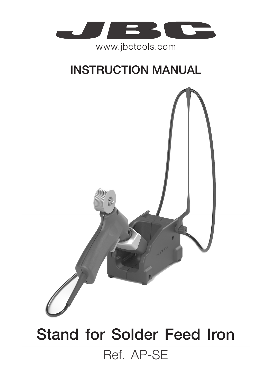

www.jbctools.com

## INSTRUCTION MANUAL



# Stand for Solder Feed Iron Ref. AP-SE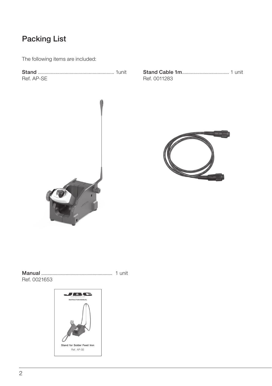#### Packing List

The following items are included:

Stand ............................................................ 1unit Ref. AP-SE

Stand Cable 1m..................................... 1 unit Ref. 0011283





Manual *..........................................................* 1 unit Ref. 0021653

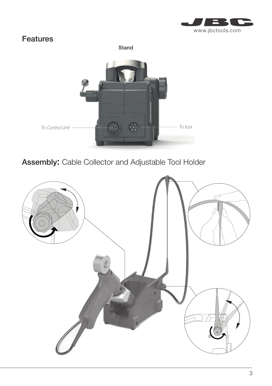

#### Features

Stand



Assembly: Cable Collector and Adjustable Tool Holder

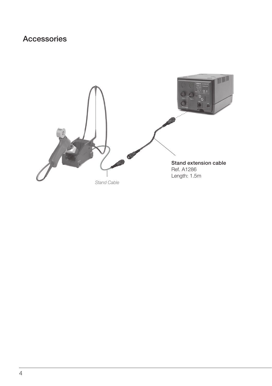### Accessories

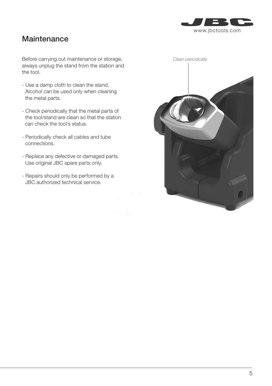

#### **Maintenance**

Before carrying out maintenance or storage, always unplug the stand from the station and the tool.

- Use a damp cloth to clean the stand. Alcohol can be used only when cleaning the metal parts.
- Check periodically that the metal parts of the tool/stand are clean so that the station can check the tool's status.
- Periodically check all cables and tube connections.
- Replace any defective or damaged parts. Use original JBC spare parts only.
- Repairs should only be performed by a JBC authorized technical service.

| Clean periodically |  |  |
|--------------------|--|--|
|                    |  |  |
|                    |  |  |
|                    |  |  |
|                    |  |  |
|                    |  |  |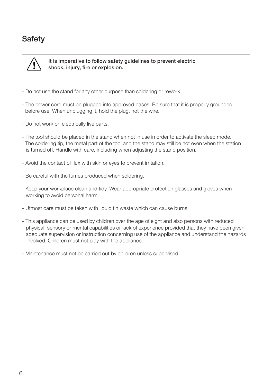### **Safety**



 It is imperative to follow safety guidelines to prevent electric shock, injury, fire or explosion.

- Do not use the stand for any other purpose than soldering or rework.
- The power cord must be plugged into approved bases. Be sure that it is properly grounded before use. When unplugging it, hold the plug, not the wire.
- Do not work on electrically live parts.
- The tool should be placed in the stand when not in use in order to activate the sleep mode. The soldering tip, the metal part of the tool and the stand may still be hot even when the station is turned off. Handle with care, including when adjusting the stand position.
- Avoid the contact of flux with skin or eyes to prevent irritation.
- Be careful with the fumes produced when soldering.
- Keep your workplace clean and tidy. Wear appropriate protection glasses and gloves when working to avoid personal harm.
- Utmost care must be taken with liquid tin waste which can cause burns.
- This appliance can be used by children over the age of eight and also persons with reduced physical, sensory or mental capabilities or lack of experience provided that they have been given adequate supervision or instruction concerning use of the appliance and understand the hazards involved. Children must not play with the appliance.
- Maintenance must not be carried out by children unless supervised.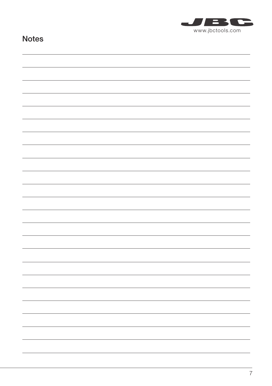

#### Notes